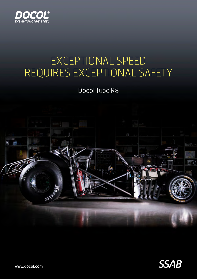

### EXCEPTIONAL SPEED REQUIRES EXCEPTIONAL SAFETY

Docol Tube R8





www.docol.com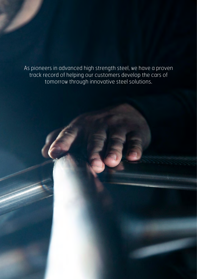As pioneers in advanced high strength steel, we have a proven track record of helping our customers develop the cars of tomorrow through innovative steel solutions.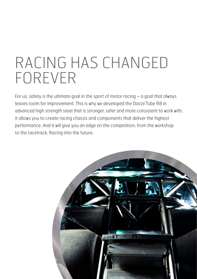# RACING HAS CHANGED FOREVER

For us, safety is the ultimate goal in the sport of motor racing  $-$  a goal that always leaves room for improvement. This is why we developed the Docol Tube R8 in advanced high strength steel that is stronger, safer and more consistent to work with. It allows you to create racing chassis and components that deliver the highest performance. And it will give you an edge on the competition, from the workshop to the racetrack. Racing into the future.

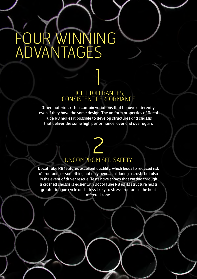# FOUR WINNING ADVANTAGES

#### TIGHT TOLERANCES, CONSISTENT PERFORMANCE

 $\frac{1}{2}$ 

Other materials often contain variations that behave differently, even if they have the same design. The uniform properties of Docol Tube R8 makes it possible to develop structures and chassis that deliver the same high performance, over and over again.

## 2 UNCOMPROMISED SAFETY

Docol Tube R8 features excellent ductility, which leads to reduced risk of fracturing – something not only beneficial during a crash, but also in the event of driver rescue. Tests have shown that cutting through a crashed chassis is easier with Docol Tube R8 as its structure has a greater fatigue cycle and is less likely to stress fracture in the heat affected zone.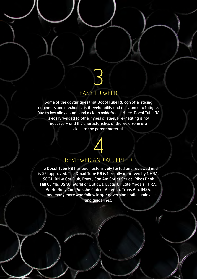## 3 EASY TO WELD

Some of the advantages that Docol Tube R8 can offer racing engineers and mechanics is its weldability and resistance to fatigue. Due to low alloy counts and a clean oxidefree surface, Docol Tube R8 is easily welded to other types of steel. Pre-heating is not necessary and the characteristics of the weld zone are close to the parent material.

## 4 REVIEWED AND ACCEPTED

The Docol Tube R8 has been extensively tested and reviewed and is SFI approved. The Docol Tube R8 is formally approved by NHRA, SCCA, BMW Car Club, Powri, Can Am Sprint Series, Pikes Peak Hill CLIMB, USAC, World of Outlaws, Lucas Oil Late Models, IHRA, World Rally Car, Porsche Club of America, Trans Am, IMSA, and many more who follow larger governing bodies' rules and guidelines.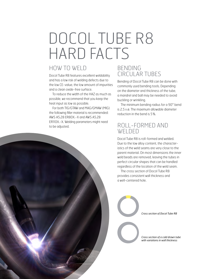# DOCOL TUBE R8 HARD FACTS

### HOW TO WELD

Docol Tube R8 features excellent weldability and has a low risk of welding defects due to the low CE-value, the low amount of impurities and a clean oxide-free surface.

To reduce the width of the HAZ as much as possible, we recommend that you keep the heat input as low as possible.

For both TIG/GTAW and MAG/GMAW (MIG) the following filler material is recommended: AWS A5.28 ER80X.-X and AWS A5.28 ER110X.-X. Welding parameters might need to be adjusted.

#### BENDING CIRCULAR TUBES

Bending of Docol Tube R8 can be done with commonly used bending tools. Depending on the diameter and thickness of the tube, a mandrel and ball may be needed to avoid buckling or wrinkling.

The minimum bending radius for a 90° bend is 2.5 x ø. The maximum allowable diameter reduction in the bend is 5%.

### ROLL-FORMED AND WELDED

Docol Tube R8 is roll-formed and welded. Due to the low alloy content, the characteristics of the weld seams are very close to the parent material. On most dimensions the inner weld beads are removed, leaving the tubes in perfect circular shapes that can be handled regardless of the location of the weld seam.

The cross section of Docol Tube R8 provides consistent wall thickness and a well-centered hole.

*Cross section of Docol Tube R8*

*Cross section of a cold drawn tube with variations in wall thickness*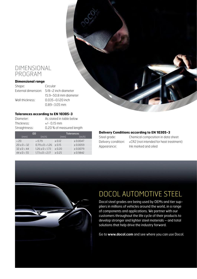#### DIMENSIONAL PROGRAM

#### **Dimensional range**

Shape: Circular External dimension: 5/8–2 inch diameter 15.9–50.8 mm diameter Wall thickness: 0.035–0.120 inch 0.89–3.05 mm

#### **Tolerances according to EN 10305-3**

| Diameter:     | As stated in table below  |
|---------------|---------------------------|
| Thickness:    | $+/-$ 0.15 mm             |
| Straightness: | 0.20 % of measured length |

| OD          |                       | <b>Tolerances</b> |           |
|-------------|-----------------------|-------------------|-----------|
| (mm)        | (inch)                | (mm)              | (inch)    |
| ~120        | 0.79                  | ± 0.12            | ± 0.0047  |
| 20 < D < 32 | $0.79 \le D \le 1.26$ | ± 0.15            | ± 0.0059  |
| 32 < D < 44 | $1.26 \le D \le 1.73$ | $+0.20$           | ± 0.0079  |
| 44 < D < 55 | $1.73 \le D \le 2.17$ | $+0.25$           | $+0.9842$ |

#### **Delivery Conditions according to EN 10305-3**

Steel grade: Chemical composition in data sheet Delivery condition: +CR2 (not intended for heat treatment) Appearance: Ink marked and oiled



### DOCOL AUTOMOTIVE STEEL

Docol steel grades are being used by OEMs and tier suppliers in millions of vehicles around the world, in a range of components and applications. We partner with our customers throughout the life cycle of their products to develop stronger and lighter steel materials – and total solutions that help drive the industry forward.

Go to **www.docol.com** and see where you can use Docol.